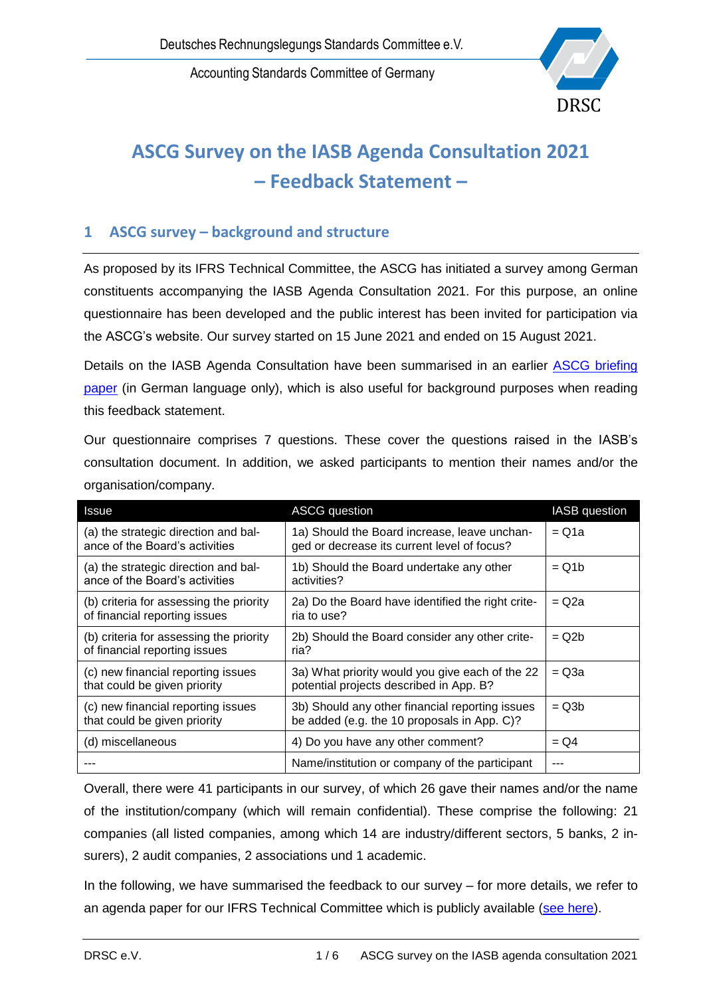Accounting Standards Committee of Germany



# **ASCG Survey on the IASB Agenda Consultation 2021 – Feedback Statement –**

### **1 ASCG survey – background and structure**

As proposed by its IFRS Technical Committee, the ASCG has initiated a survey among German constituents accompanying the IASB Agenda Consultation 2021. For this purpose, an online questionnaire has been developed and the public interest has been invited for participation via the ASCG's website. Our survey started on 15 June 2021 and ended on 15 August 2021.

Details on the IASB Agenda Consultation have been summarised in an earlier ASCG briefing [paper](https://www.drsc.de/app/uploads/2021/06/210617_IASB-AgCon_DRSC-Begleitdokument.pdf) (in German language only), which is also useful for background purposes when reading this feedback statement.

Our questionnaire comprises 7 questions. These cover the questions raised in the IASB's consultation document. In addition, we asked participants to mention their names and/or the organisation/company.

| Issue                                                              | <b>ASCG</b> question                                                                       | <b>IASB</b> question |
|--------------------------------------------------------------------|--------------------------------------------------------------------------------------------|----------------------|
| (a) the strategic direction and bal-                               | 1a) Should the Board increase, leave unchan-                                               |                      |
| ance of the Board's activities                                     | ged or decrease its current level of focus?                                                |                      |
| (a) the strategic direction and bal-                               | 1b) Should the Board undertake any other                                                   |                      |
| ance of the Board's activities                                     | activities?                                                                                |                      |
| (b) criteria for assessing the priority                            | 2a) Do the Board have identified the right crite-                                          |                      |
| of financial reporting issues                                      | ria to use?                                                                                |                      |
| (b) criteria for assessing the priority                            | 2b) Should the Board consider any other crite-                                             |                      |
| of financial reporting issues                                      | ria?                                                                                       |                      |
| (c) new financial reporting issues<br>that could be given priority | 3a) What priority would you give each of the 22<br>potential projects described in App. B? | $= Q3a$              |
| (c) new financial reporting issues                                 | 3b) Should any other financial reporting issues                                            |                      |
| that could be given priority                                       | be added (e.g. the 10 proposals in App. C)?                                                |                      |
| (d) miscellaneous                                                  | 4) Do you have any other comment?                                                          | $= Q4$               |
|                                                                    | Name/institution or company of the participant                                             | ---                  |

Overall, there were 41 participants in our survey, of which 26 gave their names and/or the name of the institution/company (which will remain confidential). These comprise the following: 21 companies (all listed companies, among which 14 are industry/different sectors, 5 banks, 2 insurers), 2 audit companies, 2 associations und 1 academic.

In the following, we have summarised the feedback to our survey – for more details, we refer to an agenda paper for our IFRS Technical Committee which is publicly available (see [here\)](https://www.drsc.de/app/uploads/2021/08/105_04a_IFRS-FA_AgCon_Umfrage.pdf).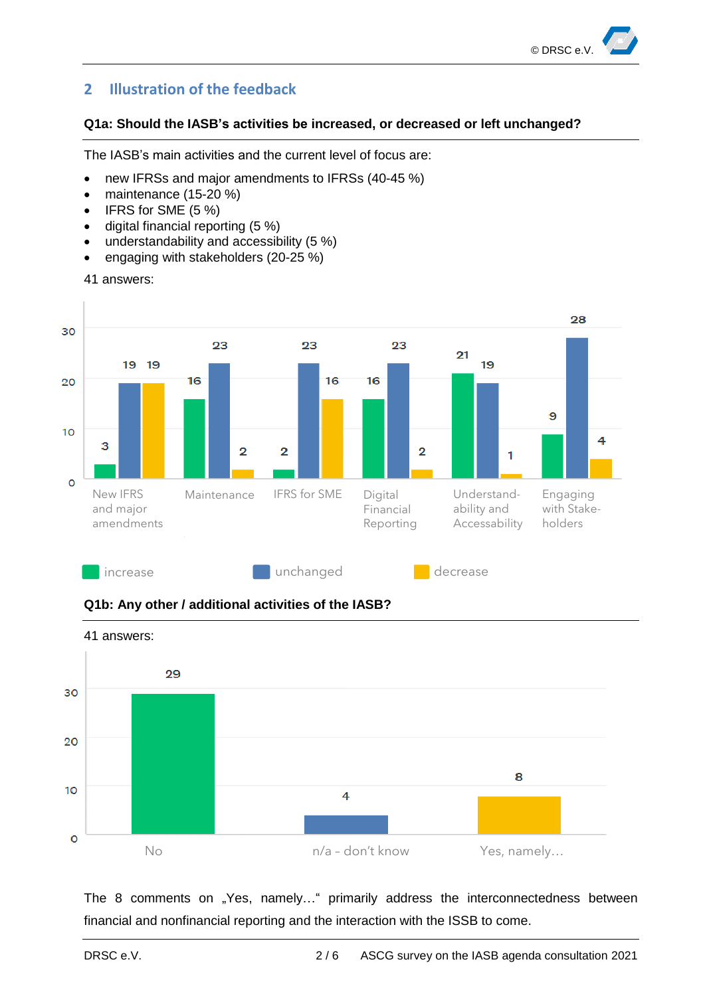## **2 Illustration of the feedback**

#### **Q1a: Should the IASB's activities be increased, or decreased or left unchanged?**

The IASB's main activities and the current level of focus are:

- new IFRSs and major amendments to IFRSs (40-45 %)
- maintenance (15-20 %)
- IFRS for SME (5 %)
- digital financial reporting (5 %)
- understandability and accessibility (5 %)
- engaging with stakeholders (20-25 %)

```
41 answers:
```






The 8 comments on "Yes, namely..." primarily address the interconnectedness between financial and nonfinancial reporting and the interaction with the ISSB to come.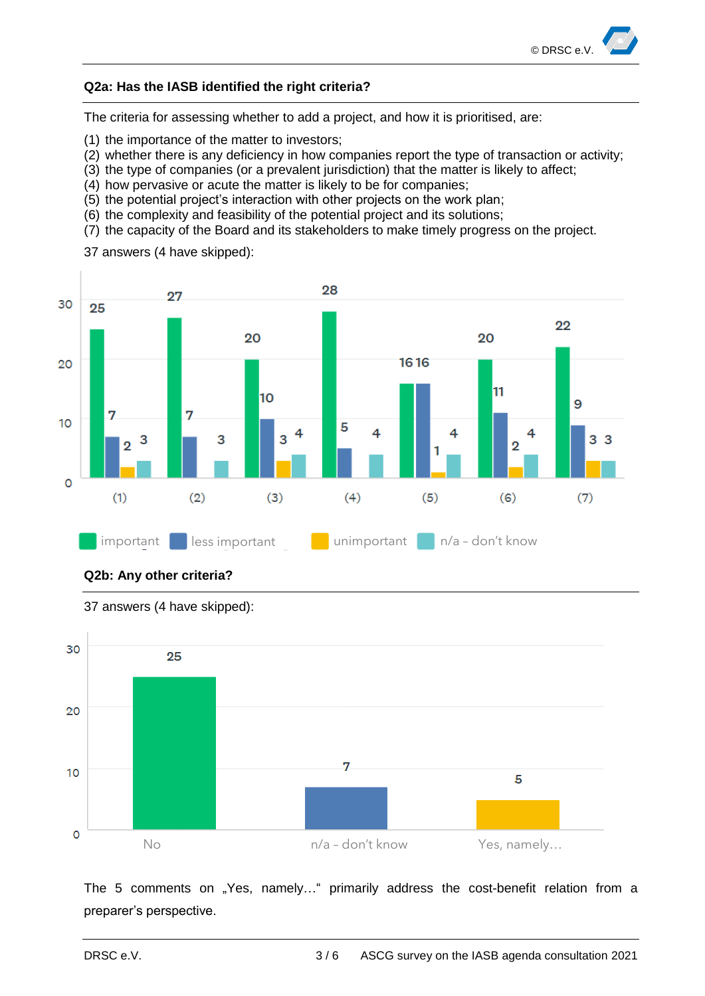

#### **Q2a: Has the IASB identified the right criteria?**

The criteria for assessing whether to add a project, and how it is prioritised, are:

(1) the importance of the matter to investors;

37 answers (4 have skipped):

- (2) whether there is any deficiency in how companies report the type of transaction or activity;
- (3) the type of companies (or a prevalent jurisdiction) that the matter is likely to affect;
- (4) how pervasive or acute the matter is likely to be for companies;
- (5) the potential project's interaction with other projects on the work plan;
- (6) the complexity and feasibility of the potential project and its solutions;
- (7) the capacity of the Board and its stakeholders to make timely progress on the project.







37 answers (4 have skipped):

The 5 comments on "Yes, namely..." primarily address the cost-benefit relation from a preparer's perspective.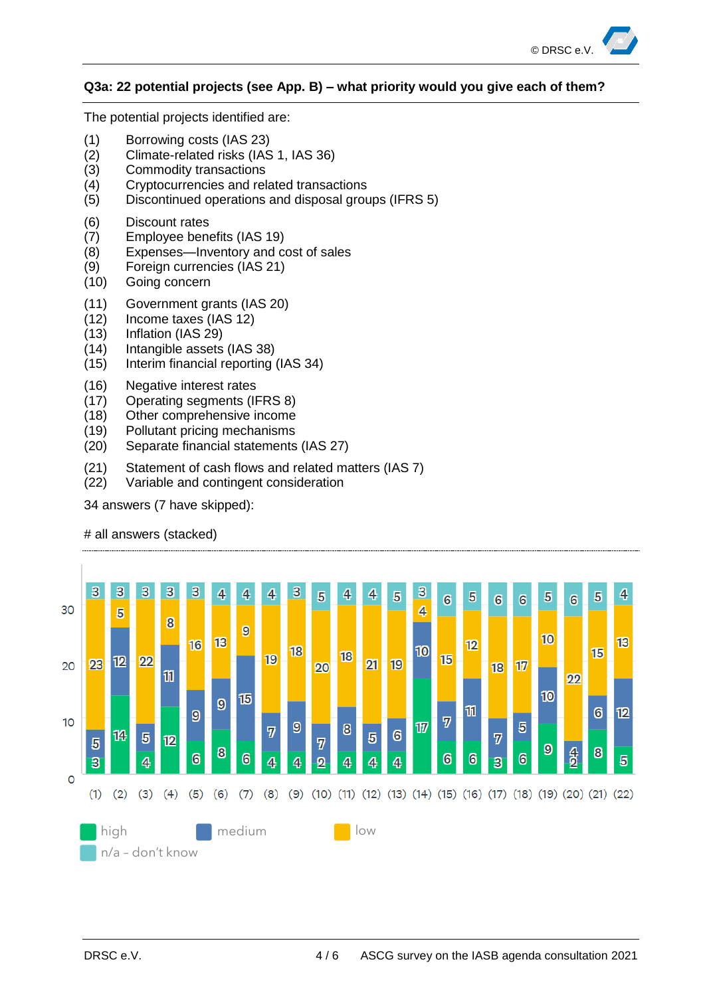

#### **Q3a: 22 potential projects (see App. B) – what priority would you give each of them?**

The potential projects identified are:

- (1) Borrowing costs (IAS 23)
- (2) Climate-related risks (IAS 1, IAS 36)
- (3) Commodity transactions
- (4) Cryptocurrencies and related transactions
- (5) Discontinued operations and disposal groups (IFRS 5)
- (6) Discount rates
- (7) Employee benefits (IAS 19)
- (8) Expenses—Inventory and cost of sales
- (9) Foreign currencies (IAS 21)
- (10) Going concern
- (11) Government grants (IAS 20)
- (12) Income taxes (IAS 12)
- (13) Inflation (IAS 29)
- (14) Intangible assets (IAS 38)
- (15) Interim financial reporting (IAS 34)
- (16) Negative interest rates
- (17) Operating segments (IFRS 8)
- (18) Other comprehensive income
- (19) Pollutant pricing mechanisms
- (20) Separate financial statements (IAS 27)
- (21) Statement of cash flows and related matters (IAS 7)
- (22) Variable and contingent consideration

34 answers (7 have skipped):



# all answers (stacked)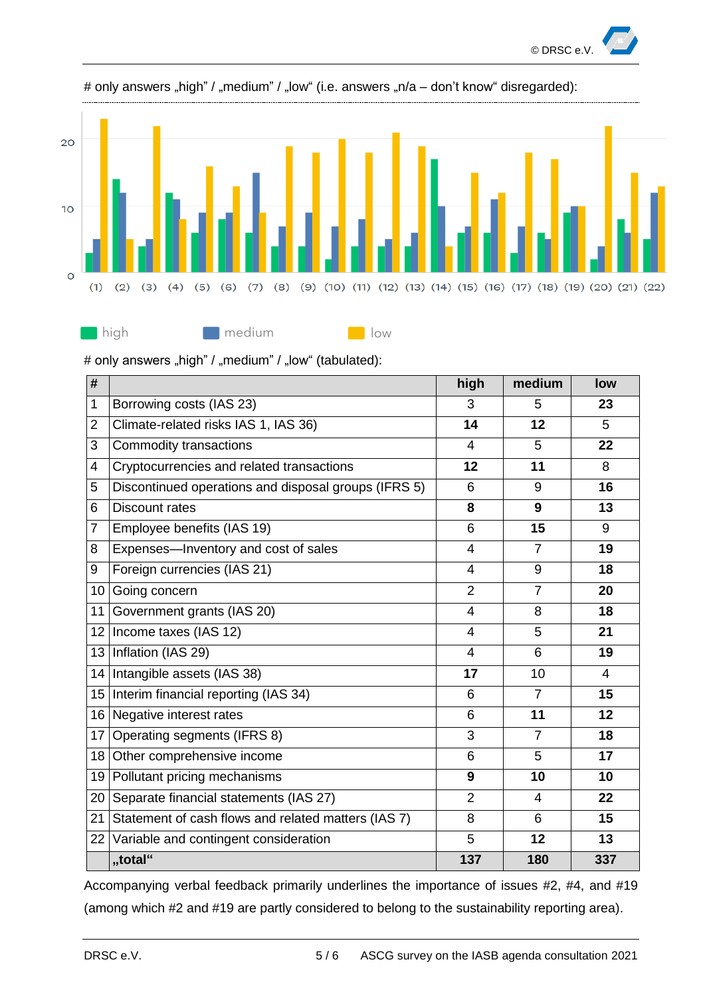



#### # only answers "high" / "medium" / "low" (i.e. answers "n/a – don't know" disregarded):

# only answers "high" / "medium" / "low" (tabulated):

| #              |                                                      | high           | medium         | low            |
|----------------|------------------------------------------------------|----------------|----------------|----------------|
| 1              | Borrowing costs (IAS 23)                             |                | 5              | 23             |
| 2              | Climate-related risks IAS 1, IAS 36)                 | 14             | 12             | 5              |
| 3              | Commodity transactions                               | $\overline{4}$ | 5              | 22             |
| 4              | Cryptocurrencies and related transactions            | 12             | 11             | 8              |
| 5              | Discontinued operations and disposal groups (IFRS 5) | 6              | 9              | 16             |
| 6              | <b>Discount rates</b>                                | 8              | 9              | 13             |
| $\overline{7}$ | Employee benefits (IAS 19)                           | 6              | 15             | 9              |
| 8              | Expenses-Inventory and cost of sales                 | $\overline{4}$ | $\overline{7}$ | 19             |
| 9              | Foreign currencies (IAS 21)                          | $\overline{4}$ | 9              | 18             |
| 10             | Going concern                                        | $\overline{2}$ | $\overline{7}$ | 20             |
| 11             | Government grants (IAS 20)                           | $\overline{4}$ | 8              | 18             |
| 12             | Income taxes (IAS 12)                                | $\overline{4}$ | 5              | 21             |
| 13             | Inflation (IAS 29)                                   | $\overline{4}$ | 6              | 19             |
| 14             | Intangible assets (IAS 38)                           | 17             | 10             | $\overline{4}$ |
| 15             | Interim financial reporting (IAS 34)                 | 6              | $\overline{7}$ | 15             |
| 16             | Negative interest rates                              | 6              | 11             | 12             |
| 17             | Operating segments (IFRS 8)                          | 3              | $\overline{7}$ | 18             |
| 18             | Other comprehensive income                           | 6              | 5              | 17             |
| 19             | Pollutant pricing mechanisms                         | 9              | 10             | 10             |
| 20             | Separate financial statements (IAS 27)               |                | 4              | 22             |
| 21             | Statement of cash flows and related matters (IAS 7)  |                | 6              | 15             |
| 22             | Variable and contingent consideration                |                | 12             | 13             |
|                | "total"                                              | 137            | 180            | 337            |

Accompanying verbal feedback primarily underlines the importance of issues #2, #4, and #19 (among which #2 and #19 are partly considered to belong to the sustainability reporting area).